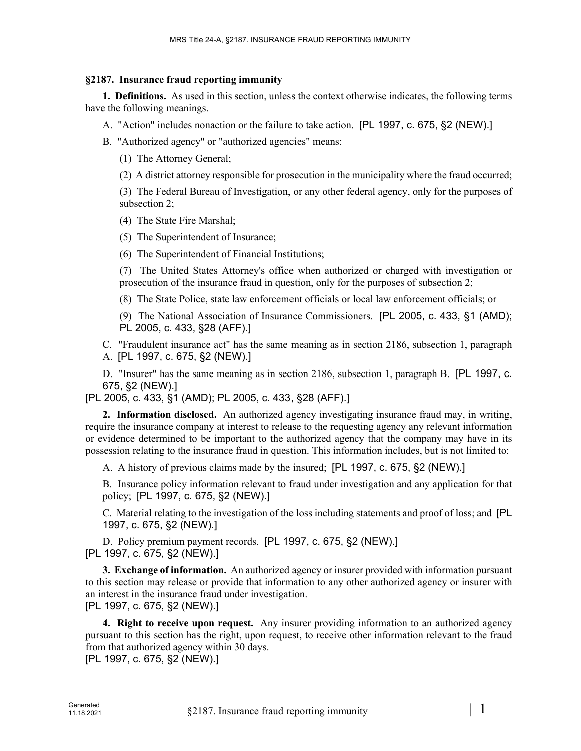## **§2187. Insurance fraud reporting immunity**

**1. Definitions.** As used in this section, unless the context otherwise indicates, the following terms have the following meanings.

- A. "Action" includes nonaction or the failure to take action. [PL 1997, c. 675, §2 (NEW).]
- B. "Authorized agency" or "authorized agencies" means:
	- (1) The Attorney General;
	- (2) A district attorney responsible for prosecution in the municipality where the fraud occurred;

(3) The Federal Bureau of Investigation, or any other federal agency, only for the purposes of subsection 2;

(4) The State Fire Marshal;

(5) The Superintendent of Insurance;

(6) The Superintendent of Financial Institutions;

(7) The United States Attorney's office when authorized or charged with investigation or prosecution of the insurance fraud in question, only for the purposes of subsection 2;

(8) The State Police, state law enforcement officials or local law enforcement officials; or

(9) The National Association of Insurance Commissioners. [PL 2005, c. 433, §1 (AMD); PL 2005, c. 433, §28 (AFF).]

C. "Fraudulent insurance act" has the same meaning as in section 2186, subsection 1, paragraph A. [PL 1997, c. 675, §2 (NEW).]

D. "Insurer" has the same meaning as in section 2186, subsection 1, paragraph B. [PL 1997, c. 675, §2 (NEW).]

[PL 2005, c. 433, §1 (AMD); PL 2005, c. 433, §28 (AFF).]

**2. Information disclosed.** An authorized agency investigating insurance fraud may, in writing, require the insurance company at interest to release to the requesting agency any relevant information or evidence determined to be important to the authorized agency that the company may have in its possession relating to the insurance fraud in question. This information includes, but is not limited to:

A. A history of previous claims made by the insured; [PL 1997, c. 675, §2 (NEW).]

B. Insurance policy information relevant to fraud under investigation and any application for that policy; [PL 1997, c. 675, §2 (NEW).]

C. Material relating to the investigation of the loss including statements and proof of loss; and [PL 1997, c. 675, §2 (NEW).]

D. Policy premium payment records. [PL 1997, c. 675, §2 (NEW).] [PL 1997, c. 675, §2 (NEW).]

**3. Exchange of information.** An authorized agency or insurer provided with information pursuant to this section may release or provide that information to any other authorized agency or insurer with an interest in the insurance fraud under investigation. [PL 1997, c. 675, §2 (NEW).]

**4. Right to receive upon request.** Any insurer providing information to an authorized agency pursuant to this section has the right, upon request, to receive other information relevant to the fraud from that authorized agency within 30 days.

[PL 1997, c. 675, §2 (NEW).]